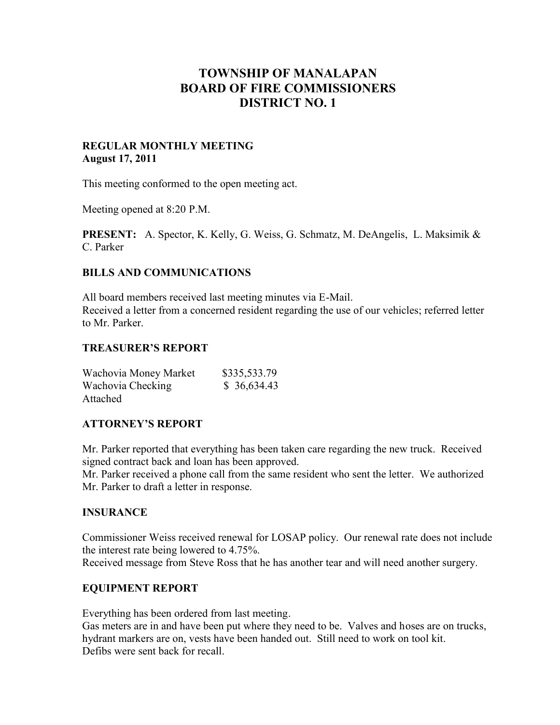# **TOWNSHIP OF MANALAPAN BOARD OF FIRE COMMISSIONERS DISTRICT NO. 1**

# **REGULAR MONTHLY MEETING August 17, 2011**

This meeting conformed to the open meeting act.

Meeting opened at 8:20 P.M.

**PRESENT:** A. Spector, K. Kelly, G. Weiss, G. Schmatz, M. DeAngelis, L. Maksimik & C. Parker

## **BILLS AND COMMUNICATIONS**

All board members received last meeting minutes via E-Mail. Received a letter from a concerned resident regarding the use of our vehicles; referred letter to Mr. Parker.

## **TREASURER'S REPORT**

| Wachovia Money Market | \$335,533.79 |
|-----------------------|--------------|
| Wachovia Checking     | \$36,634.43  |
| Attached              |              |

## **ATTORNEY'S REPORT**

Mr. Parker reported that everything has been taken care regarding the new truck. Received signed contract back and loan has been approved.

Mr. Parker received a phone call from the same resident who sent the letter. We authorized Mr. Parker to draft a letter in response.

## **INSURANCE**

Commissioner Weiss received renewal for LOSAP policy. Our renewal rate does not include the interest rate being lowered to 4.75%.

Received message from Steve Ross that he has another tear and will need another surgery.

## **EQUIPMENT REPORT**

Everything has been ordered from last meeting.

Gas meters are in and have been put where they need to be. Valves and hoses are on trucks, hydrant markers are on, vests have been handed out. Still need to work on tool kit. Defibs were sent back for recall.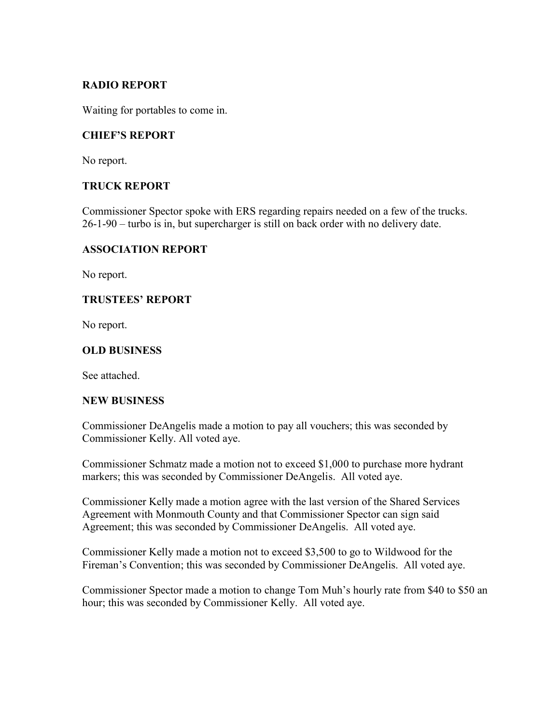# **RADIO REPORT**

Waiting for portables to come in.

## **CHIEF'S REPORT**

No report.

# **TRUCK REPORT**

Commissioner Spector spoke with ERS regarding repairs needed on a few of the trucks. 26-1-90 – turbo is in, but supercharger is still on back order with no delivery date.

## **ASSOCIATION REPORT**

No report.

# **TRUSTEES' REPORT**

No report.

# **OLD BUSINESS**

See attached.

## **NEW BUSINESS**

Commissioner DeAngelis made a motion to pay all vouchers; this was seconded by Commissioner Kelly. All voted aye.

Commissioner Schmatz made a motion not to exceed \$1,000 to purchase more hydrant markers; this was seconded by Commissioner DeAngelis. All voted aye.

Commissioner Kelly made a motion agree with the last version of the Shared Services Agreement with Monmouth County and that Commissioner Spector can sign said Agreement; this was seconded by Commissioner DeAngelis. All voted aye.

Commissioner Kelly made a motion not to exceed \$3,500 to go to Wildwood for the Fireman's Convention; this was seconded by Commissioner DeAngelis. All voted aye.

Commissioner Spector made a motion to change Tom Muh's hourly rate from \$40 to \$50 an hour; this was seconded by Commissioner Kelly. All voted aye.